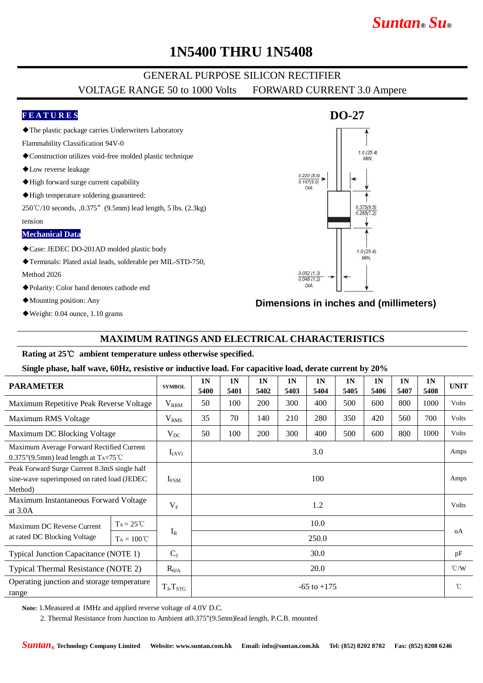# *Suntan***®** *Su***®**

## **1N5400 THRU 1N5408**

### GENERAL PURPOSE SILICON RECTIFIER VOLTAGE RANGE 50 to 1000 Volts FORWARD CURRENT 3.0 Ampere

#### **F E A T U R E S**

◆The plastic package carries Underwriters Laboratory

Flammability Classification 94V-0

- ◆Construction utilizes void-free molded plastic technique
- ◆Low reverse leakage
- ◆High forward surge current capability
- ◆High temperature soldering guaranteed:

250℃/10 seconds, ,0.375"(9.5mm) lead length, 5 lbs. (2.3kg)

tension

#### **Mechanical Data**

◆Case: JEDEC DO-201AD molded plastic body

◆Terminals: Plated axial leads, solderable per MIL-STD-750,

Method 2026

- ◆Polarity: Color band denotes cathode end
- ◆Mounting position: Any
- ◆Weight: 0.04 ounce, 1.10 grams

## **DO-27**  $1.0(25.4)$ **MIN**  $\frac{0.220(5.6)}{0.487(5.0)}$  $0.197(5.0)$ **DIA**  $\frac{0.375(9.5)}{0.285(7.2)}$  $1.0(25.4)$ **MIN**  $0.052(1.3)$  $0.048(1.2)$  $DIA$

#### **Dimensions in inches and (millimeters)**

### **MAXIMUM RATINGS AND ELECTRICAL CHARACTERISTICS**

#### **Rating at 25**℃ **ambient temperature unless otherwise specified.**

**Single phase, half wave, 60Hz, resistive or inductive load. For capacitive load, derate current by 20%**

| <b>PARAMETER</b>                                                                                               |                     | <b>SYMBOL</b>   | 1 <sub>N</sub><br>5400 | 1 <sub>N</sub><br>5401 | 1 <sub>N</sub><br>5402 | 1 <sub>N</sub><br>5403 | 1 <sub>N</sub><br>5404 | 1 <sub>N</sub><br>5405 | 1 <sub>N</sub><br>5406 | 1 <sub>N</sub><br>5407 | 1 <sub>N</sub><br>5408 | <b>UNIT</b>   |
|----------------------------------------------------------------------------------------------------------------|---------------------|-----------------|------------------------|------------------------|------------------------|------------------------|------------------------|------------------------|------------------------|------------------------|------------------------|---------------|
| Maximum Repetitive Peak Reverse Voltage                                                                        |                     | $V_{\rm RRM}$   | 50                     | 100                    | 200                    | 300                    | 400                    | 500                    | 600                    | 800                    | 1000                   | <b>Volts</b>  |
| Maximum RMS Voltage                                                                                            |                     | $\rm V_{RMS}$   | 35                     | 70                     | 140                    | 210                    | 280                    | 350                    | 420                    | 560                    | 700                    | Volts         |
| Maximum DC Blocking Voltage                                                                                    |                     | $V_{DC}$        | 50                     | 100                    | 200                    | 300                    | 400                    | 500                    | 600                    | 800                    | 1000                   | Volts         |
| Maximum Average Forward Rectified Current<br>$0.375$ "(9.5mm) lead length at T <sub>A</sub> =75 <sup>°</sup> C |                     | $I_{(AV)}$      | 3.0                    |                        |                        |                        |                        |                        |                        |                        |                        | Amps          |
| Peak Forward Surge Current 8.3mS single half<br>sine-wave superimposed on rated load (JEDEC<br>Method)         |                     | $I_{FSM}$       | 100                    |                        |                        |                        |                        |                        |                        |                        |                        | Amps          |
| Maximum Instantaneous Forward Voltage<br>at 3.0A                                                               |                     | $V_{F}$         | 1.2                    |                        |                        |                        |                        |                        |                        |                        |                        | Volts         |
| Maximum DC Reverse Current<br>at rated DC Blocking Voltage                                                     | $T_A = 25^{\circ}C$ |                 | 10.0                   |                        |                        |                        |                        |                        |                        |                        |                        | uA            |
|                                                                                                                | $Ta = 100^{\circ}C$ | $I_R$           | 250.0                  |                        |                        |                        |                        |                        |                        |                        |                        |               |
| Typical Junction Capacitance (NOTE 1)                                                                          |                     | $C_{J}$         | 30.0                   |                        |                        |                        |                        |                        |                        |                        |                        | pF            |
| Typical Thermal Resistance (NOTE 2)                                                                            |                     | $R_{\theta JA}$ | 20.0                   |                        |                        |                        |                        |                        |                        |                        |                        | $\degree$ C/W |
| Operating junction and storage temperature<br>range                                                            |                     | $T_J, T_{STG}$  | $-65$ to $+175$        |                        |                        |                        |                        |                        |                        |                        |                        | $^{\circ}$ C  |

**Note:** 1.Measured at 1MHz and applied reverse voltage of 4.0V D.C.

2. Thermal Resistance from Junction to Ambient at0.375"(9.5mm)lead length, P.C.B. mounted